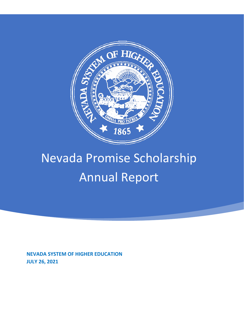

# Nevada Promise Scholarship Annual Report

**NEVADA SYSTEM OF HIGHER EDUCATION JULY 26, 2021**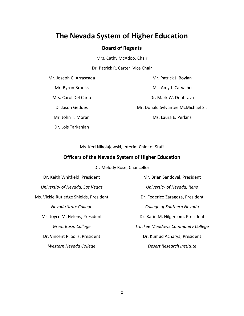# **The Nevada System of Higher Education**

# **Board of Regents**

Mrs. Cathy McAdoo, Chair

Dr. Patrick R. Carter, Vice Chair

Mr. Joseph C. Arrascada

Mr. Byron Brooks

Mrs. Carol Del Carlo

Dr Jason Geddes

Mr. John T. Moran

Dr. Lois Tarkanian

Mr. Patrick J. Boylan Ms. Amy J. Carvalho Dr. Mark W. Doubrava Mr. Donald Sylvantee McMichael Sr. Ms. Laura E. Perkins

Ms. Keri Nikolajewski, Interim Chief of Staff

# **Officers of the Nevada System of Higher Education**

Dr. Melody Rose, Chancellor

Dr. Keith Whitfield, President *University of Nevada, Las Vegas*  Ms. Vickie Rutledge Shields, President *Nevada State College*  Ms. Joyce M. Helens, President *Great Basin College*  Dr. Vincent R. Solis, President *Western Nevada College* Mr. Brian Sandoval, President *University of Nevada, Reno*  Dr. Federico Zaragoza, President *College of Southern Nevada*  Dr. Karin M. Hilgersom, President *Truckee Meadows Community College*  Dr. Kumud Acharya, President *Desert Research Institute*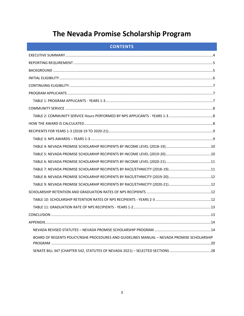# The Nevada Promise Scholarship Program

|  |  |  | <b>CONTENTS</b> |
|--|--|--|-----------------|
|  |  |  |                 |
|  |  |  |                 |

| BOARD OF REGENTS POLICY/NSHE PROCEDURES AND GUIDELINES MANUAL - NEVADA PROMISE SCHOLARSHIP |  |
|--------------------------------------------------------------------------------------------|--|
| SENATE BILL 347 (CHAPTER 542, STATUTES OF NEVADA 2021) - SELECTED SECTIONS 28              |  |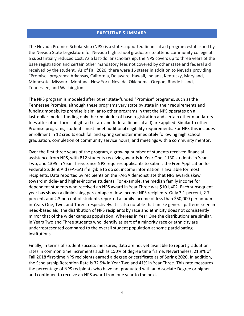## **EXECUTIVE SUMMARY**

<span id="page-3-0"></span>The Nevada Promise Scholarship (NPS) is a state-supported financial aid program established by the Nevada State Legislature for Nevada high school graduates to attend community college at a substantially reduced cost. As a last-dollar scholarship, the NPS covers up to three years of the base registration and certain other mandatory fees not covered by other state and federal aid received by the student. As of Fall 2020, there were 16 states in addition to Nevada providing "Promise" programs: Arkansas, California, Delaware, Hawaii, Indiana, Kentucky, Maryland, Minnesota, Missouri, Montana, New York, Nevada, Oklahoma, Oregon, Rhode Island, Tennessee, and Washington.

The NPS program is modeled after other state-funded "Promise" programs, such as the Tennessee Promise, although these programs vary state by state in their requirements and funding models. Its premise is similar to other programs in that the NPS operates on a last-dollar model, funding only the remainder of base registration and certain other mandatory fees after other forms of gift aid (state and federal financial aid) are applied. Similar to other Promise programs, students must meet additional eligibility requirements. For NPS this includes enrollment in 12 credits each fall and spring semester immediately following high school graduation, completion of community service hours, and meetings with a community mentor.

Over the first three years of the program, a growing number of students received financial assistance from NPS, with 812 students receiving awards in Year One, 1130 students in Year Two, and 1395 in Year Three. Since NPS requires applicants to submit the Free Application for Federal Student Aid (FAFSA) if eligible to do so, income information is available for most recipients. Data reported by recipients on the FAFSA demonstrate that NPS awards skew toward middle- and higher-income students. For example, the median family income for dependent students who received an NPS award in Year Three was \$101,402. Each subsequent year has shown a diminishing percentage of low-income NPS recipients. Only 3.1 percent, 2.7 percent, and 2.3 percent of students reported a family income of less than \$50,000 per annum in Years One, Two, and Three, respectively. It is also notable that unlike general patterns seen in need-based aid, the distribution of NPS recipients by race and ethnicity does not consistently mirror that of the wider campus population. Whereas in Year One the distributions are similar, in Years Two and Three students who identify as part of a minority race or ethnicity are underrepresented compared to the overall student population at some participating institutions.

Finally, in terms of student success measures, data are not yet available to report graduation rates in common time increments such as 150% of degree time frame. Nevertheless, 21.9% of Fall 2018 first-time NPS recipients earned a degree or certificate as of Spring 2020. In addition, the Scholarship Retention Rate is 32.9% in Year Two and 41% in Year Three. This rate measures the percentage of NPS recipients who have not graduated with an Associate Degree or higher and continued to receive an NPS award from one year to the next.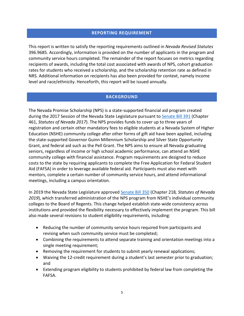# **REPORTING REQUIREMENT**

<span id="page-4-0"></span>This report is written to satisfy the reporting requirements outlined in *Nevada Revised Statutes*  396.9685. Accordingly, information is provided on the number of applicants in the program and community service hours completed. The remainder of the report focuses on metrics regarding recipients of awards, including the total cost associated with awards of NPS, cohort graduation rates for students who received a scholarship, and the scholarship retention rate as defined in NRS. Additional information on recipients has also been provided for context, namely income level and race/ethnicity. Henceforth, this report will be issued annually.

# **BACKGROUND**

<span id="page-4-1"></span>The Nevada Promise Scholarship (NPS) is a state-supported financial aid program created during the 2017 Session of the Nevada State Legislature pursuant to [Senate Bill 391](https://www.leg.state.nv.us/App/NELIS/REL/79th2017/Bill/5449/Overview) (Chapter 461, *Statutes of Nevada 2017*). The NPS provides funds to cover up to three years of registration and certain other mandatory fees to eligible students at a Nevada System of Higher Education (NSHE) community college after other forms of gift aid have been applied, including the state-supported Governor Guinn Millennium Scholarship and Silver State Opportunity Grant, and federal aid such as the Pell Grant. The NPS aims to ensure all Nevada graduating seniors, regardless of income or high school academic performance, can attend an NSHE community college with financial assistance. Program requirements are designed to reduce costs to the state by requiring applicants to complete the Free Application for Federal Student Aid (FAFSA) in order to leverage available federal aid. Participants must also meet with mentors, complete a certain number of community service hours, and attend informational meetings, including a campus orientation.

In 2019 the Nevada State Legislature approved [Senate Bill 350](https://www.leg.state.nv.us/App/NELIS/REL/80th2019/Bill/6633/Overview) (Chapter 218*, Statutes of Nevada 2019*), which transferred administration of the NPS program from NSHE's individual community colleges to the Board of Regents. This change helped establish state-wide consistency across institutions and provided the flexibility necessary to effectively implement the program. This bill also made several revisions to student eligibility requirements, including:

- Reducing the number of community service hours required from participants and revising when such community service must be completed;
- Combining the requirements to attend separate training and orientation meetings into a single meeting requirement;
- Removing the requirement for students to submit yearly renewal applications;
- Waiving the 12-credit requirement during a student's last semester prior to graduation; and
- Extending program eligibility to students prohibited by federal law from completing the FAFSA.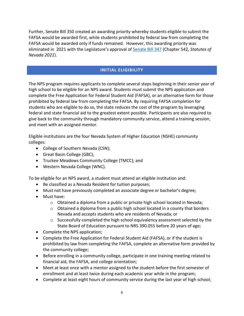Further, Senate Bill 350 created an awarding priority whereby students eligible to submit the FAFSA would be awarded first, while students prohibited by federal law from completing the FAFSA would be awarded only if funds remained. However, this awarding priority was eliminated in 2021 with the Legislature's approval of [Senate Bill 347](https://www.leg.state.nv.us/App/NELIS/REL/81st2021/Bill/7996/Overview) (Chapter 542*, Statutes of Nevada 2021*).

# **INITIAL ELIGIBILITY**

<span id="page-5-0"></span>The NPS program requires applicants to complete several steps beginning in their senior year of high school to be eligible for an NPS award. Students must submit the NPS application and complete the Free Application for Federal Student Aid (FAFSA), or an alternative form for those prohibited by federal law from completing the FAFSA. By requiring FAFSA completion for students who are eligible to do so, the state reduces the cost of the program by leveraging federal and state financial aid to the greatest extent possible. Participants are also required to give back to the community through mandatory community service, attend a training session, and meet with an assigned mentor.

Eligible institutions are the four Nevada System of Higher Education (NSHE) community colleges:

- College of Southern Nevada (CSN);
- Great Basin College (GBC);
- Truckee Meadows Community College (TMCC); and
- Western Nevada College (WNC).

To be eligible for an NPS award, a student must attend an eligible institution and:

- Be classified as a Nevada Resident for tuition purposes;
- Must not have previously completed an associate degree or bachelor's degree;
- Must have:
	- $\circ$  Obtained a diploma from a public or private high school located in Nevada;
	- o Obtained a diploma from a public high school located in a county that borders Nevada and accepts students who are residents of Nevada; or
	- $\circ$  Successfully completed the high school equivalency assessment selected by the State Board of Education pursuant to NRS 390.055 before 20 years of age;
- Complete the NPS application;
- Complete the Free Application for Federal Student Aid (FAFSA), or if the student is prohibited by law from completing the FAFSA, complete an alternative form provided by the community college;
- Before enrolling in a community college, participate in one training meeting related to financial aid, the FAFSA, and college orientation;
- Meet at least once with a mentor assigned to the student before the first semester of enrollment and at least twice during each academic year while in the program;
- Complete at least eight hours of community service during the last year of high school;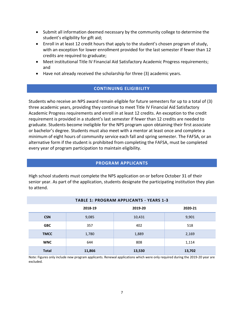- Submit all information deemed necessary by the community college to determine the student's eligibility for gift aid;
- Enroll in at least 12 credit hours that apply to the student's chosen program of study, with an exception for lower enrollment provided for the last semester if fewer than 12 credits are required to graduate;
- Meet institutional Title IV Financial Aid Satisfactory Academic Progress requirements; and
- <span id="page-6-0"></span>• Have not already received the scholarship for three (3) academic years.

# **CONTINUING ELIGIBILITY**

Students who receive an NPS award remain eligible for future semesters for up to a total of (3) three academic years, providing they continue to meet Title IV Financial Aid Satisfactory Academic Progress requirements and enroll in at least 12 credits. An exception to the credit requirement is provided in a student's last semester if fewer than 12 credits are needed to graduate. Students become ineligible for the NPS program upon obtaining their first associate or bachelor's degree. Students must also meet with a mentor at least once and complete a minimum of eight hours of community service each fall and spring semester. The FAFSA, or an alternative form if the student is prohibited from completing the FAFSA, must be completed every year of program participation to maintain eligibility.

# **PROGRAM APPLICANTS**

<span id="page-6-1"></span>High school students must complete the NPS application on or before October 31 of their senior year. As part of the application, students designate the participating institution they plan to attend.

<span id="page-6-2"></span>

| <b>TABLE 1: PROGRAM APPLICANTS - YEARS 1-3</b> |                               |        |        |  |  |  |  |  |  |  |
|------------------------------------------------|-------------------------------|--------|--------|--|--|--|--|--|--|--|
|                                                | 2018-19<br>2019-20<br>2020-21 |        |        |  |  |  |  |  |  |  |
| <b>CSN</b>                                     | 9,085                         | 10,431 | 9,901  |  |  |  |  |  |  |  |
| <b>GBC</b>                                     | 357                           | 402    | 518    |  |  |  |  |  |  |  |
| <b>TMCC</b>                                    | 1,780                         | 1,889  | 2,169  |  |  |  |  |  |  |  |
| <b>WNC</b>                                     | 644                           | 808    | 1,114  |  |  |  |  |  |  |  |
| <b>Total</b>                                   | 11,866                        | 13,530 | 13,702 |  |  |  |  |  |  |  |

Note: Figures only include new program applicants. Renewal applications which were only required during the 2019-20 year are excluded.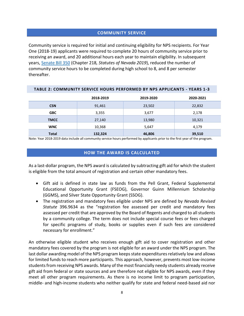# **COMMUNITY SERVICE**

<span id="page-7-0"></span>Community service is required for initial and continuing eligibility for NPS recipients. For Year One (2018-19) applicants were required to complete 20 hours of community service prior to receiving an award, and 20 additional hours each year to maintain eligibility. In subsequent years[, Senate Bill 350](https://www.leg.state.nv.us/App/NELIS/REL/80th2019/Bill/6633/Overview) (Chapter 218*, Statutes of Nevada 2019*), reduced the number of community service hours to be completed during high school to 8, and 8 per semester thereafter.

<span id="page-7-1"></span>

| TABLE 2: COMMUNITY SERVICE HOURS PERFORMED BY NPS APPLICANTS - YEARS 1-3 |           |                        |        |  |  |  |  |  |
|--------------------------------------------------------------------------|-----------|------------------------|--------|--|--|--|--|--|
|                                                                          | 2018-2019 | 2019-2020<br>2020-2021 |        |  |  |  |  |  |
| <b>CSN</b>                                                               | 91,461    | 23,502                 | 22,832 |  |  |  |  |  |
| <b>GBC</b>                                                               | 3,355     | 3,677                  | 2,178  |  |  |  |  |  |
| <b>TMCC</b>                                                              | 27,140    | 13,980                 | 10,321 |  |  |  |  |  |
| <b>WNC</b>                                                               | 10,368    | 5,647                  | 4,179  |  |  |  |  |  |
| <b>Total</b>                                                             | 132,324   | 46,806                 | 39,510 |  |  |  |  |  |

<span id="page-7-2"></span>Note: Year 2018-2019 data include all community service hours performed by applicants prior to the first year of the program.

# **HOW THE AWARD IS CALCULATED**

As a last-dollar program, the NPS award is calculated by subtracting gift aid for which the student is eligible from the total amount of registration and certain other mandatory fees.

- Gift aid is defined in state law as funds from the Pell Grant, Federal Supplemental Educational Opportunity Grant (FSEOG), Governor Guinn Millennium Scholarship (GGMS), and Silver State Opportunity Grant (SSOG).
- The registration and mandatory fees eligible under NPS are defined by *Nevada Revised Statute* 396.9634 as the "registration fee assessed per credit and mandatory fees assessed per credit that are approved by the Board of Regents and charged to all students by a community college. The term does not include special course fees or fees charged for specific programs of study, books or supplies even if such fees are considered necessary for enrollment."

An otherwise eligible student who receives enough gift aid to cover registration and other mandatory fees covered by the program is not eligible for an award under the NPS program. The last dollar awarding model of the NPS program keeps state expenditures relatively low and allows for limited funds to reach more participants. This approach, however, prevents most low-income students from receiving NPS awards. Many of the most financially needy students already receive gift aid from federal or state sources and are therefore not eligible for NPS awards, even if they meet all other program requirements. As there is no income limit to program participation, middle- and high-income students who neither qualify for state and federal need-based aid nor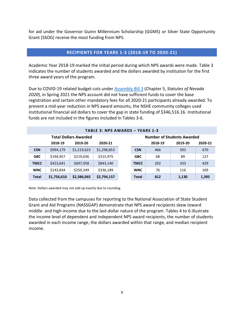for aid under the Governor Guinn Millennium Scholarship (GGMS) or Silver State Opportunity Grant (SSOG) receive the most funding from NPS.

# **RECIPIENTS FOR YEARS 1-3 (2018-19 TO 2020-21)**

<span id="page-8-0"></span>Academic Year 2018-19 marked the initial period during which NPS awards were made. Table 3 indicates the number of students awarded and the dollars awarded by institution for the first three award years of the program.

Due to COVID-19 related budget cuts under [Assembly Bill 3](https://www.leg.state.nv.us/App/NELIS/REL/31st2020Special/Bill/7127/Overview) (Chapter 5, *Statutes of Nevada 2020*), in Spring 2021 the NPS account did not have sufficient funds to cover the base registration and certain other mandatory fees for all 2020-21 participants already awarded. To prevent a mid-year reduction in NPS award amounts, the NSHE community colleges used institutional financial aid dollars to cover the gap in state funding of \$346,516.16. Institutional funds are not included in the figures included in Tables 3-6.

<span id="page-8-1"></span>

|              | <b>TABLE 3: NPS AWARDS - YEARS 1-3</b> |             |             |  |              |                                   |         |         |  |  |  |  |
|--------------|----------------------------------------|-------------|-------------|--|--------------|-----------------------------------|---------|---------|--|--|--|--|
|              | <b>Total Dollars Awarded</b>           |             |             |  |              | <b>Number of Students Awarded</b> |         |         |  |  |  |  |
|              | 2019-20<br>2020-21<br>2018-19          |             |             |  |              | 2018-19                           | 2019-20 | 2020-21 |  |  |  |  |
| <b>CSN</b>   | \$994,179                              | \$1,219,623 | \$1,298,853 |  | <b>CSN</b>   | 466                               | 592     | 670     |  |  |  |  |
| <b>GBC</b>   | \$194,957                              | \$219,036   | \$315,975   |  | <b>GBC</b>   | 68                                | 89      | 127     |  |  |  |  |
| <b>TMCC</b>  | \$423,641                              | \$697,058   | \$843,140   |  | <b>TMCC</b>  | 202                               | 333     | 429     |  |  |  |  |
| <b>WNC</b>   | \$143,834                              | \$250,349   | \$336,189   |  | WNC          | 76                                | 116     | 169     |  |  |  |  |
| <b>Total</b> | \$1,756,610                            | \$2,386,065 | \$2,794,157 |  | <b>Total</b> | 812                               | 1,130   | 1,395   |  |  |  |  |

Note: Dollars awarded may not add up exactly due to rounding.

Data collected from the campuses for reporting to the National Association of State Student Grant and Aid Programs (NASSGAP) demonstrate that NPS award recipients skew toward middle- and high-income due to the last-dollar nature of the program. Tables 4 to 6 illustrate the income level of dependent and independent NPS award recipients, the number of students awarded in each income range, the dollars awarded within that range, and median recipient income.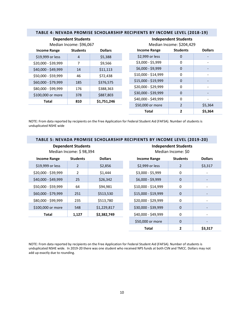<span id="page-9-0"></span>

|                     | <b>Dependent Students</b><br>Median Income: \$96,067 |                | <b>Independent Students</b><br>Median Income: \$204,429 |                 |                |  |  |
|---------------------|------------------------------------------------------|----------------|---------------------------------------------------------|-----------------|----------------|--|--|
| <b>Income Range</b> | <b>Students</b>                                      | <b>Dollars</b> | <b>Income Range</b>                                     | <b>Students</b> | <b>Dollars</b> |  |  |
| \$19,999 or less    | 4                                                    | \$5,388        | \$2,999 or less                                         | $\mathbf 0$     |                |  |  |
| \$20,000 - \$39,999 | 7                                                    | \$9,566        | \$3,000 - \$5,999                                       | 0               |                |  |  |
| \$40,000 - \$49,999 | 14                                                   | \$11,113       | \$6,000 - \$9,999                                       | $\mathbf{0}$    |                |  |  |
| \$50,000 - \$59,999 | 46                                                   | \$72,438       | \$10,000 - \$14,999                                     | $\Omega$        |                |  |  |
| \$60,000 - \$79,999 | 185                                                  | \$376,575      | \$15,000 - \$19,999                                     | $\Omega$        |                |  |  |
| \$80,000 - \$99,999 | 176                                                  | \$388,363      | \$20,000 - \$29,999                                     | $\mathbf 0$     |                |  |  |
| \$100,000 or more   | 378                                                  | \$887,803      | \$30,000 - \$39,999                                     | $\mathbf{0}$    |                |  |  |
| Total               | 810                                                  | \$1,751,246    | \$40,000 - \$49,999                                     | 0               |                |  |  |
|                     |                                                      |                | \$50,000 or more                                        | $\overline{2}$  | \$5,364        |  |  |
|                     |                                                      |                | <b>Total</b>                                            | $\mathbf{2}$    | \$5,364        |  |  |

#### **TABLE 4: NEVADA PROMISE SCHOLARSHIP RECIPIENTS BY INCOME LEVEL (2018-19)**

NOTE: From data reported by recipients on the Free Application for Federal Student Aid (FAFSA). Number of students is unduplicated NSHE wide

# <span id="page-9-1"></span>**TABLE 5: NEVADA PROMISE SCHOLARSHIP RECIPIENTS BY INCOME LEVEL (2019-20)**

| <b>Dependent Students</b> |
|---------------------------|
| Median Income: \$98,394   |

**Independent Students** Median Income: \$0

| <b>Income Range</b> | <b>Dollars</b><br><b>Students</b><br><b>Income Range</b> |             | <b>Students</b>     | <b>Dollars</b> |                              |
|---------------------|----------------------------------------------------------|-------------|---------------------|----------------|------------------------------|
| \$19,999 or less    | 2                                                        | \$2,856     | \$2,999 or less     | 2              | \$3,317                      |
| \$20,000 - \$39,999 | 2                                                        | \$1,444     | \$3,000 - \$5,999   | 0              |                              |
| \$40,000 - \$49,999 | 25                                                       | \$26,342    | \$6,000 - \$9,999   | $\mathbf 0$    |                              |
| \$50,000 - \$59,999 | 64                                                       | \$94,981    | \$10,000 - \$14,999 | 0              |                              |
| \$60,000 - \$79,999 | 251                                                      | \$513,530   | \$15,000 - \$19,999 | $\mathbf 0$    |                              |
| \$80,000 - \$99,999 | 235                                                      | \$513,780   | \$20,000 - \$29,999 | 0              |                              |
| \$100,000 or more   | 548                                                      | \$1,229,817 | \$30,000 - \$39,999 | $\mathbf 0$    |                              |
| <b>Total</b>        | 1,127                                                    | \$2,382,749 | \$40,000 - \$49,999 | 0              | $\qquad \qquad \blacksquare$ |
|                     |                                                          |             | \$50,000 or more    | $\mathbf 0$    |                              |
|                     |                                                          |             | <b>Total</b>        | $\overline{2}$ | \$3,317                      |

NOTE: From data reported by recipients on the Free Application for Federal Student Aid (FAFSA). Number of students is unduplicated NSHE wide. In 2019-20 there was one student who received NPS funds at both CSN and TMCC. Dollars may not add up exactly due to rounding.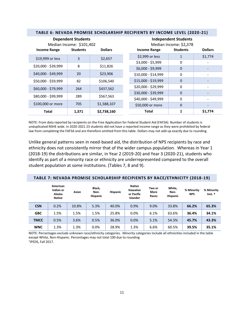<span id="page-10-0"></span>

|                     | <b>Dependent Students</b><br>Median Income: \$101,402 |                |                     | <b>Independent Students</b><br>Median Income: \$2,378 |                |  |  |  |
|---------------------|-------------------------------------------------------|----------------|---------------------|-------------------------------------------------------|----------------|--|--|--|
| <b>Income Range</b> | <b>Students</b>                                       | <b>Dollars</b> | <b>Income Range</b> | <b>Students</b>                                       | <b>Dollars</b> |  |  |  |
| \$19,999 or less    | 3                                                     | \$2,657        | \$2,999 or less     | $\mathbf{1}$                                          | \$1,774        |  |  |  |
|                     |                                                       |                | \$3,000 - \$5,999   | $\Omega$                                              |                |  |  |  |
| \$20,000 - \$39,999 | 8                                                     | \$11,826       | \$6,000 - \$9,999   | $\mathbf 0$                                           |                |  |  |  |
| $$40,000 - $49,999$ | 20                                                    | \$23,906       | \$10,000 - \$14,999 | 0                                                     |                |  |  |  |
| \$50,000 - \$59,999 | 82                                                    | \$106,540      | \$15,000 - \$19,999 | $\Omega$                                              |                |  |  |  |
| \$60,000 - \$79,999 | 264                                                   | \$437,562      | \$20,000 - \$29,999 | $\Omega$                                              |                |  |  |  |
|                     |                                                       |                | \$30,000 - \$39,999 | $\mathbf 0$                                           |                |  |  |  |
| \$80,000 - \$99,999 | 289                                                   | \$567,563      | \$40,000 - \$49,999 | $\Omega$                                              |                |  |  |  |
| \$100,000 or more   | 705                                                   | \$1,588,107    | \$50,000 or more    | $\Omega$                                              |                |  |  |  |
| Total               | 1,371                                                 | \$2,738,160    | <b>Total</b>        | $\mathbf{1}$                                          | \$1,774        |  |  |  |

#### **TABLE 6: NEVADA PROMISE SCHOLARSHIP RECIPIENTS BY INCOME LEVEL (2020-21)**

NOTE: From data reported by recipients on the Free Application for Federal Student Aid (FAFSA). Number of students is unduplicated NSHE wide. In 2020-2021 23 students did not have a reported income range as they were prohibited by federal law from completing the FAFSA and are therefore omitted from this table. Dollars may not add up exactly due to rounding.

Unlike general patterns seen in need-based aid, the distribution of NPS recipients by race and ethnicity does not consistently mirror that of the wider campus population. Whereas in Year 1 (2018-19) the distributions are similar, in Year 2 (2019-20) and Year 3 (2020-21), students who identify as part of a minority race or ethnicity are underrepresented compared to the overall student population at some institutions. (Tables 7, 8 and 9).

#### <span id="page-10-1"></span>**TABLE 7: NEVADA PROMISE SCHOLARSHIP RECIPIENTS BY RACE/ETHNICITY (2018-19)**

|             | American<br>Indian or<br>Alaska<br><b>Native</b> | Asian | Black,<br>Non-<br><b>Hispanic</b> | <b>Hispanic</b> | <b>Native</b><br>Hawaiian<br>or Pacific<br>Islander | Two or<br>More<br>Races | White,<br>Non-<br><b>Hispanic</b> | % Minority<br><b>NPS</b> | % Minority<br>Inst. † |
|-------------|--------------------------------------------------|-------|-----------------------------------|-----------------|-----------------------------------------------------|-------------------------|-----------------------------------|--------------------------|-----------------------|
| <b>CSN</b>  | 0.2%                                             | 10.8% | 5.3%                              | 40.0%           | 0.9%                                                | 9.0%                    | 33.8%                             | 66.2%                    | 65.3%                 |
| <b>GBC</b>  | 1.5%                                             | 1.5%  | 1.5%                              | 25.8%           | 0.0%                                                | 6.1%                    | 63.6%                             | 36.4%                    | 34.1%                 |
| <b>TMCC</b> | 0.5%                                             | 3.6%  | 0.5%                              | 36.0%           | 0.0%                                                | 5.1%                    | 54.3%                             | 45.7%                    | 43.3%                 |
| <b>WNC</b>  | 1.3%                                             | 1.3%  | 0.0%                              | 28.9%           | 1.3%                                                | 6.6%                    | 60.5%                             | 39.5%                    | 35.1%                 |

NOTE: Percentages exclude unknown race/ethnicity categories. Minority categories include all ethnicities included in the table except White, Non-Hispanic. Percentages may not total 100 due to rounding † IPEDS, Fall 2017.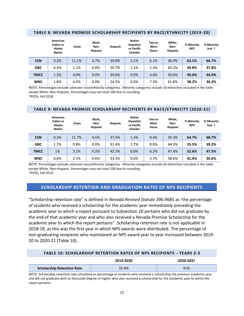|             | American<br>Indian or<br>Alaska<br><b>Native</b> | Asian | Black,<br>Non-<br><b>Hispanic</b> | <b>Hispanic</b> | <b>Native</b><br>Hawaiian<br>or Pacific<br>Islander | Two or<br>More<br>Races | White,<br>Non-<br><b>Hispanic</b> | % Minority<br><b>NPS</b> | % Minority<br>Inst. + |
|-------------|--------------------------------------------------|-------|-----------------------------------|-----------------|-----------------------------------------------------|-------------------------|-----------------------------------|--------------------------|-----------------------|
| <b>CSN</b>  | 0.2%                                             | 11.1% | 4.7%                              | 39.0%           | 2.1%                                                | 6.1%                    | 36.9%                             | 63.1%                    | 66.7%                 |
| <b>GBC</b>  | 4.5%                                             | 1.1%  | $0.0\%$                           | 30.7%           | 1.1%                                                | 2.3%                    | 60.2%                             | 39.8%                    | 37.8%                 |
| <b>TMCC</b> | 1.2%                                             | 4.0%  | 0.0%                              | 39.6%           | 0.0%                                                | 4.6%                    | 50.6%                             | 49.4%                    | 44.9%                 |
| <b>WNC</b>  | 1.8%                                             | 4.5%  | 0.0%                              | 24.5%           | 0.0%                                                | 7.3%                    | 61.8%                             | 38.2%                    | 36.2%                 |

#### <span id="page-11-0"></span>**TABLE 8: NEVADA PROMISE SCHOLARSHIP RECIPIENTS BY RACE/ETHNICITY (2019-20)**

NOTE: Percentages exclude unknown race/ethnicity categories. Minority categories include all ethnicities included in the table except White, Non-Hispanic. Percentages may not total 100 due to rounding † IPEDS, Fall 2018.

#### <span id="page-11-1"></span>**TABLE 9: NEVADA PROMISE SCHOLARSHIP RECIPIENTS BY RACE/ETHNICITY (2020-21)**

|             | American<br>Indian or<br>Alaska<br><b>Native</b> | Asian | Black,<br>Non-<br><b>Hispanic</b> | <b>Hispanic</b> | <b>Native</b><br>Hawaiian<br>or Pacific<br><b>Islander</b> | Two or<br>More<br>Races | White,<br>Non-<br><b>Hispanic</b> | % Minority<br><b>NPS</b> | % Minority<br>Inst. t |
|-------------|--------------------------------------------------|-------|-----------------------------------|-----------------|------------------------------------------------------------|-------------------------|-----------------------------------|--------------------------|-----------------------|
| <b>CSN</b>  | 0.3%                                             | 11.7% | 4.5%                              | 37.5%           | 1.3%                                                       | 9.4%                    | 35.3%                             | 64.7%                    | 68.7%                 |
| <b>GBC</b>  | 1.7%                                             | 0.8%  | 0.0%                              | 31.4%           | 1.7%                                                       | 0.0%                    | 64.5%                             | 35.5%                    | 39.2%                 |
| <b>TMCC</b> | 1%                                               | 3.1%  | 0.2%                              | 42.2%           | 0.0%                                                       | 6.2%                    | 47.4%                             | 52.6%                    | 47.5%                 |
| <b>WNC</b>  | 0.6%                                             | 2.5%  | 0.6%                              | 33.3%           | 0.6%                                                       | 3.7%                    | 58.6%                             | 41.4%                    | 36.6%                 |

NOTE: Percentages exclude unknown race/ethnicity categories. Minority categories include all ethnicities included in the table except White, Non-Hispanic. Percentages may not total 100 due to rounding † IPEDS, Fall 2019.

#### <span id="page-11-2"></span>**SCHOLARSHIP RETENTION AND GRADUATION RATES OF NPS RECIPIENTS**

"Scholarship retention rate" is defined in *Nevada Revised Statute* 396.9685 as "the percentage of students who received a scholarship for the academic year immediately preceding the academic year to which a report pursuant to Subsection 10 pertains who did not graduate by the end of that academic year and who also received a Nevada Promise Scholarship for the academic year to which the report pertains". Scholarship retention rate is not applicable in 2018-19, as this was the first year in which NPS awards were distributed. The percentage of non-graduating recipients who maintained an NPS award year to year increased between 2019- 20 to 2020-21 (Table 10).

#### **TABLE 10: SCHOLARSHIP RETENTION RATES OF NPS RECIPIENTS - YEARS 2-3**

<span id="page-11-3"></span>

|                                   | 2019-2020 | 2020-2021 |
|-----------------------------------|-----------|-----------|
| <b>Scholarship Retention Rate</b> | 32.9%     | 41%       |

NOTE: Scholarship retention rate calculated as percentage of students who received a scholarship the previous academic year and did not graduate with an Associate Degree or higher who also received a scholarship for the academic year to which the report pertains.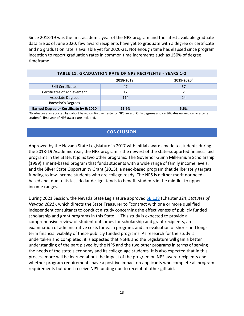Since 2018-19 was the first academic year of the NPS program and the latest available graduate data are as of June 2020, few award recipients have yet to graduate with a degree or certificate and no graduation rate is available yet for 2020-21. Not enough time has elapsed since program inception to report graduation rates in common time increments such as 150% of degree timeframe.

<span id="page-12-0"></span>

|                                        | 2018-2019 <sup>+</sup>   | 2019-2020 <sup>+</sup>   |
|----------------------------------------|--------------------------|--------------------------|
| <b>Skill Certificates</b>              | 47                       | 37                       |
| Certificates of Achievement            | 17                       |                          |
| <b>Associate Degrees</b>               | 114                      | 24                       |
| <b>Bachelor's Degrees</b>              | $\overline{\phantom{a}}$ | $\overline{\phantom{0}}$ |
| Earned Degree or Certificate by 6/2020 | 21.9%                    | 5.6%                     |

#### **TABLE 11: GRADUATION RATE OF NPS RECIPIENTS - YEARS 1-2**

<span id="page-12-1"></span>†Graduates are reported by cohort based on first semester of NPS award. Only degrees and certificates earned on or after a student's first year of NPS award are included.

# **CONCLUSION**

Approved by the Nevada State Legislature in 2017 with initial awards made to students during the 2018-19 Academic Year, the NPS program is the newest of the state-supported financial aid programs in the State. It joins two other programs: The Governor Guinn Millennium Scholarship (1999) a merit-based program that funds students with a wide range of family income levels, and the Silver State Opportunity Grant (2015), a need-based program that deliberately targets funding to low-income students who are college ready. The NPS is neither merit nor needbased and, due to its last-dollar design, tends to benefit students in the middle- to upperincome ranges.

During 2021 Session, the Nevada State Legislature approved [SB 128](https://www.leg.state.nv.us/App/NELIS/REL/81st2021/Bill/7490/Text) (Chapter 324, *Statutes of Nevada 2021*), which directs the State Treasurer to "contract with one or more qualified independent consultants to conduct a study concerning the effectiveness of publicly funded scholarship and grant programs in this State…" This study is expected to provide a comprehensive review of student outcomes for scholarship and grant recipients, an examination of administrative costs for each program, and an evaluation of short- and longterm financial viability of these publicly funded programs. As research for the study is undertaken and completed, it is expected that NSHE and the Legislature will gain a better understanding of the part played by the NPS and the two other programs in terms of serving the needs of the state's economy and its college-age students. It is also expected that in this process more will be learned about the impact of the program on NPS award recipients and whether program requirements have a positive impact on applicants who complete all program requirements but don't receive NPS funding due to receipt of other gift aid.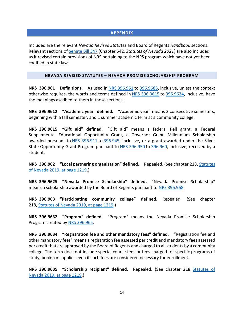# **APPENDIX**

<span id="page-13-0"></span>Included are the relevant *Nevada Revised Statutes* and Board of Regents *Handbook* sections. Relevant sections of [Senate Bill 347](https://www.leg.state.nv.us/App/NELIS/REL/81st2021/Bill/7996/Overview) (Chapter 542*, Statutes of Nevada 2021*) are also included, as it revised certain provisions of NRS pertaining to the NPS program which have not yet been codified in state law.

#### **NEVADA REVISED STATUTES – NEVADA PROMISE SCHOLARSHIP PROGRAM**

<span id="page-13-1"></span>**NRS 396.961 Definitions.** As used in [NRS 396.961](https://www.leg.state.nv.us/nrs/nrs-396.html#NRS396Sec961) to [396.9685,](https://www.leg.state.nv.us/nrs/nrs-396.html#NRS396Sec9685) inclusive, unless the context otherwise requires, the words and terms defined in [NRS 396.9615](https://www.leg.state.nv.us/nrs/nrs-396.html#NRS396Sec9615) to [396.9634,](https://www.leg.state.nv.us/nrs/nrs-396.html#NRS396Sec9634) inclusive, have the meanings ascribed to them in those sections.

**NRS 396.9612 "Academic year" defined.** "Academic year" means 2 consecutive semesters, beginning with a fall semester, and 1 summer academic term at a community college.

**NRS 396.9615 "Gift aid" defined.** "Gift aid" means a federal Pell grant, a Federal Supplemental Educational Opportunity Grant, a Governor Guinn Millennium Scholarship awarded pursuant to [NRS 396.911](https://www.leg.state.nv.us/nrs/nrs-396.html#NRS396Sec911) to [396.945,](https://www.leg.state.nv.us/nrs/nrs-396.html#NRS396Sec945) inclusive, or a grant awarded under the Silver State Opportunity Grant Program pursuant to [NRS 396.950](https://www.leg.state.nv.us/nrs/nrs-396.html#NRS396Sec950) to [396.960,](https://www.leg.state.nv.us/nrs/nrs-396.html#NRS396Sec960) inclusive, received by a student.

**NRS 396.962 "Local partnering organization" defined.** Repealed. (See chapter 218, [Statutes](https://www.leg.state.nv.us/Statutes/80th2019/Stats201907.html#Stats201907page1219)  [of Nevada 2019, at page 1219.](https://www.leg.state.nv.us/Statutes/80th2019/Stats201907.html#Stats201907page1219))

**NRS 396.9625 "Nevada Promise Scholarship" defined.** "Nevada Promise Scholarship" means a scholarship awarded by the Board of Regents pursuant to [NRS 396.968.](https://www.leg.state.nv.us/nrs/nrs-396.html#NRS396Sec968)

**NRS 396.963 "Participating community college" defined.** Repealed. (See chapter 218, [Statutes of Nevada 2019, at page 1219.](https://www.leg.state.nv.us/Statutes/80th2019/Stats201907.html#Stats201907page1219))

**NRS 396.9632 "Program" defined.** "Program" means the Nevada Promise Scholarship Program created by [NRS 396.965.](https://www.leg.state.nv.us/nrs/nrs-396.html#NRS396Sec965)

**NRS 396.9634 "Registration fee and other mandatory fees" defined.** "Registration fee and other mandatory fees" means a registration fee assessed per credit and mandatory fees assessed per credit that are approved by the Board of Regents and charged to all students by a community college. The term does not include special course fees or fees charged for specific programs of study, books or supplies even if such fees are considered necessary for enrollment.

**NRS 396.9635 "Scholarship recipient" defined.** Repealed. (See chapter 218, [Statutes of](https://www.leg.state.nv.us/Statutes/80th2019/Stats201907.html#Stats201907page1219)  [Nevada 2019, at page 1219.](https://www.leg.state.nv.us/Statutes/80th2019/Stats201907.html#Stats201907page1219))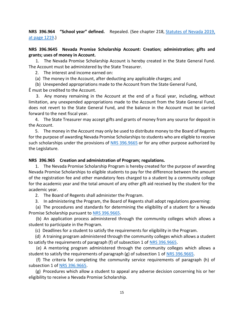# **NRS 396.964 "School year" defined.** Repealed. (See chapter 218, [Statutes of Nevada 2019,](https://www.leg.state.nv.us/Statutes/80th2019/Stats201907.html#Stats201907page1219)  [at page 1219.](https://www.leg.state.nv.us/Statutes/80th2019/Stats201907.html#Stats201907page1219))

# **NRS 396.9645 Nevada Promise Scholarship Account: Creation; administration; gifts and grants; uses of money in Account.**

1. The Nevada Promise Scholarship Account is hereby created in the State General Fund. The Account must be administered by the State Treasurer.

2. The interest and income earned on:

(a) The money in the Account, after deducting any applicable charges; and

(b) Unexpended appropriations made to the Account from the State General Fund,

Ê must be credited to the Account.

3. Any money remaining in the Account at the end of a fiscal year, including, without limitation, any unexpended appropriations made to the Account from the State General Fund, does not revert to the State General Fund, and the balance in the Account must be carried forward to the next fiscal year.

4. The State Treasurer may accept gifts and grants of money from any source for deposit in the Account.

5. The money in the Account may only be used to distribute money to the Board of Regents for the purpose of awarding Nevada Promise Scholarships to students who are eligible to receive such scholarships under the provisions of [NRS 396.9665](https://www.leg.state.nv.us/nrs/nrs-396.html#NRS396Sec9665) or for any other purpose authorized by the Legislature.

# **NRS 396.965 Creation and administration of Program; regulations.**

1. The Nevada Promise Scholarship Program is hereby created for the purpose of awarding Nevada Promise Scholarships to eligible students to pay for the difference between the amount of the registration fee and other mandatory fees charged to a student by a community college for the academic year and the total amount of any other gift aid received by the student for the academic year.

2. The Board of Regents shall administer the Program.

3. In administering the Program, the Board of Regents shall adopt regulations governing:

(a) The procedures and standards for determining the eligibility of a student for a Nevada Promise Scholarship pursuant to [NRS 396.9665.](https://www.leg.state.nv.us/nrs/nrs-396.html#NRS396Sec9665)

(b) An application process administered through the community colleges which allows a student to participate in the Program.

(c) Deadlines for a student to satisfy the requirements for eligibility in the Program.

(d) A training program administered through the community colleges which allows a student to satisfy the requirements of paragraph (f) of subsection 1 of [NRS 396.9665.](https://www.leg.state.nv.us/nrs/nrs-396.html#NRS396Sec9665)

(e) A mentoring program administered through the community colleges which allows a student to satisfy the requirements of paragraph (g) of subsection 1 of [NRS 396.9665.](https://www.leg.state.nv.us/nrs/nrs-396.html#NRS396Sec9665)

(f) The criteria for completing the community service requirements of paragraph (h) of subsection 1 of [NRS 396.9665.](https://www.leg.state.nv.us/nrs/nrs-396.html#NRS396Sec9665)

(g) Procedures which allow a student to appeal any adverse decision concerning his or her eligibility to receive a Nevada Promise Scholarship.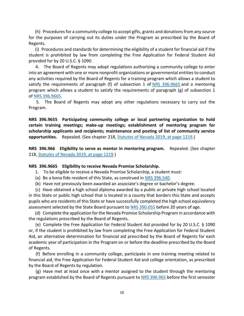(h) Procedures for a community college to accept gifts, grants and donations from any source for the purposes of carrying out its duties under the Program as prescribed by the Board of Regents.

(i) Procedures and standards for determining the eligibility of a student for financial aid if the student is prohibited by law from completing the Free Application for Federal Student Aid provided for by 20 U.S.C. § 1090.

4. The Board of Regents may adopt regulations authorizing a community college to enter into an agreement with one or more nonprofit organizations or governmental entities to conduct any activities required by the Board of Regents for a training program which allows a student to satisfy the requirements of paragraph (f) of subsection 1 of [NRS 396.9665](https://www.leg.state.nv.us/nrs/nrs-396.html#NRS396Sec9665) and a mentoring program which allows a student to satisfy the requirements of paragraph  $(g)$  of subsection 1 of [NRS 396.9665.](https://www.leg.state.nv.us/nrs/nrs-396.html#NRS396Sec9665)

5. The Board of Regents may adopt any other regulations necessary to carry out the Program.

**NRS 396.9655 Participating community college or local partnering organization to hold certain training meetings; make-up meetings; establishment of mentoring program for scholarship applicants and recipients; maintenance and posting of list of community service opportunities.** Repealed. (See chapter 218, [Statutes of Nevada 2019, at page 1219.](https://www.leg.state.nv.us/Statutes/80th2019/Stats201907.html#Stats201907page1219))

**NRS 396.966 Eligibility to serve as mentor in mentoring program.** Repealed. (See chapter 218, [Statutes of Nevada 2019, at page 1219.](https://www.leg.state.nv.us/Statutes/80th2019/Stats201907.html#Stats201907page1219))

# **NRS 396.9665 Eligibility to receive Nevada Promise Scholarship.**

- 1. To be eligible to receive a Nevada Promise Scholarship, a student must:
- (a) Be a bona fide resident of this State, as construed in [NRS 396.540.](https://www.leg.state.nv.us/nrs/nrs-396.html#NRS396Sec540)
- (b) Have not previously been awarded an associate's degree or bachelor's degree.

(c) Have obtained a high school diploma awarded by a public or private high school located in this State or public high school that is located in a county that borders this State and accepts pupils who are residents of this State or have successfully completed the high school equivalency assessment selected by the State Board pursuant to [NRS 390.055](https://www.leg.state.nv.us/NRS/NRS-390.html#NRS390Sec055) before 20 years of age.

(d) Complete the application for the Nevada Promise Scholarship Program in accordance with the regulations prescribed by the Board of Regents.

(e) Complete the Free Application for Federal Student Aid provided for by 20 U.S.C. § 1090 or, if the student is prohibited by law from completing the Free Application for Federal Student Aid, an alternative determination for financial aid prescribed by the Board of Regents for each academic year of participation in the Program on or before the deadline prescribed by the Board of Regents.

(f) Before enrolling in a community college, participate in one training meeting related to financial aid, the Free Application for Federal Student Aid and college orientation, as prescribed by the Board of Regents by regulation.

(g) Have met at least once with a mentor assigned to the student through the mentoring program established by the Board of Regents pursuant to [NRS 396.965](https://www.leg.state.nv.us/nrs/nrs-396.html#NRS396Sec965) before the first semester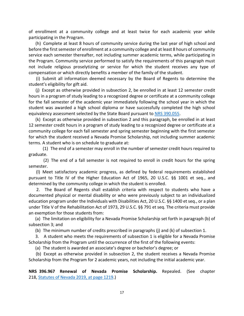of enrollment at a community college and at least twice for each academic year while participating in the Program.

(h) Complete at least 8 hours of community service during the last year of high school and before the first semester of enrollment at a community college and at least 8 hours of community service each semester thereafter, not including summer academic terms, while participating in the Program. Community service performed to satisfy the requirements of this paragraph must not include religious proselytizing or service for which the student receives any type of compensation or which directly benefits a member of the family of the student.

(i) Submit all information deemed necessary by the Board of Regents to determine the student's eligibility for gift aid.

(j) Except as otherwise provided in subsection 2, be enrolled in at least 12 semester credit hours in a program of study leading to a recognized degree or certificate at a community college for the fall semester of the academic year immediately following the school year in which the student was awarded a high school diploma or have successfully completed the high school equivalency assessment selected by the State Board pursuant to [NRS 390.055.](https://www.leg.state.nv.us/NRS/NRS-390.html#NRS390Sec055)

(k) Except as otherwise provided in subsection 2 and this paragraph, be enrolled in at least 12 semester credit hours in a program of study leading to a recognized degree or certificate at a community college for each fall semester and spring semester beginning with the first semester for which the student received a Nevada Promise Scholarship, not including summer academic terms. A student who is on schedule to graduate at:

(1) The end of a semester may enroll in the number of semester credit hours required to graduate.

(2) The end of a fall semester is not required to enroll in credit hours for the spring semester.

(l) Meet satisfactory academic progress, as defined by federal requirements established pursuant to Title IV of the Higher Education Act of 1965, 20 U.S.C. §§ 1001 et seq., and determined by the community college in which the student is enrolled.

2. The Board of Regents shall establish criteria with respect to students who have a documented physical or mental disability or who were previously subject to an individualized education program under the Individuals with Disabilities Act, 20 U.S.C. §§ 1400 et seq., or a plan under Title V of the Rehabilitation Act of 1973, 29 U.S.C. §§ 791 et seq. The criteria must provide an exemption for those students from:

(a) The limitation on eligibility for a Nevada Promise Scholarship set forth in paragraph (b) of subsection 3; and

(b) The minimum number of credits prescribed in paragraphs (j) and (k) of subsection 1.

3. A student who meets the requirements of subsection 1 is eligible for a Nevada Promise Scholarship from the Program until the occurrence of the first of the following events:

(a) The student is awarded an associate's degree or bachelor's degree; or

(b) Except as otherwise provided in subsection 2, the student receives a Nevada Promise Scholarship from the Program for 2 academic years, not including the initial academic year.

**NRS 396.967 Renewal of Nevada Promise Scholarship.** Repealed. (See chapter 218, [Statutes of Nevada 2019, at page 1219.](https://www.leg.state.nv.us/Statutes/80th2019/Stats201907.html#Stats201907page1219))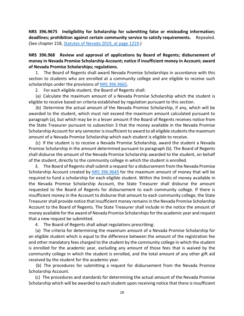**NRS 396.9675 Ineligibility for Scholarship for submitting false or misleading information; deadlines; prohibition against certain community service to satisfy requirements.** Repealed. (See chapter 218, [Statutes of Nevada 2019, at page 1219.](https://www.leg.state.nv.us/Statutes/80th2019/Stats201907.html#Stats201907page1219))

**NRS 396.968 Review and approval of applications by Board of Regents; disbursement of money in Nevada Promise Scholarship Account; notice if insufficient money in Account; award of Nevada Promise Scholarships; regulations.**

1. The Board of Regents shall award Nevada Promise Scholarships in accordance with this section to students who are enrolled at a community college and are eligible to receive such scholarships under the provisions of NRS [396.9665.](https://www.leg.state.nv.us/nrs/nrs-396.html#NRS396Sec9665)

2. For each eligible student, the Board of Regents shall:

(a) Calculate the maximum amount of a Nevada Promise Scholarship which the student is eligible to receive based on criteria established by regulation pursuant to this section.

(b) Determine the actual amount of the Nevada Promise Scholarship, if any, which will be awarded to the student, which must not exceed the maximum amount calculated pursuant to paragraph (a), but which may be in a lesser amount if the Board of Regents receives notice from the State Treasurer pursuant to subsection 3 that the money available in the Nevada Promise Scholarship Account for any semester is insufficient to award to all eligible students the maximum amount of a Nevada Promise Scholarship which each student is eligible to receive.

(c) If the student is to receive a Nevada Promise Scholarship, award the student a Nevada Promise Scholarship in the amount determined pursuant to paragraph (b). The Board of Regents shall disburse the amount of the Nevada Promise Scholarship awarded to the student, on behalf of the student, directly to the community college in which the student is enrolled.

3. The Board of Regents shall submit a request for a disbursement from the Nevada Promise Scholarship Account created by [NRS 396.9645](https://www.leg.state.nv.us/nrs/nrs-396.html#NRS396Sec9645) for the maximum amount of money that will be required to fund a scholarship for each eligible student. Within the limits of money available in the Nevada Promise Scholarship Account, the State Treasurer shall disburse the amount requested to the Board of Regents for disbursement to each community college. If there is insufficient money in the Account to disburse that amount to each community college, the State Treasurer shall provide notice that insufficient money remains in the Nevada Promise Scholarship Account to the Board of Regents. The State Treasurer shall include in the notice the amount of money available for the award of Nevada Promise Scholarships for the academic year and request that a new request be submitted.

4. The Board of Regents shall adopt regulations prescribing:

(a) The criteria for determining the maximum amount of a Nevada Promise Scholarship for an eligible student which is equal to the difference between the amount of the registration fee and other mandatory fees charged to the student by the community college in which the student is enrolled for the academic year, excluding any amount of those fees that is waived by the community college in which the student is enrolled, and the total amount of any other gift aid received by the student for the academic year.

(b) The procedures for submitting a request for disbursement from the Nevada Promise Scholarship Account.

(c) The procedures and standards for determining the actual amount of the Nevada Promise Scholarship which will be awarded to each student upon receiving notice that there is insufficient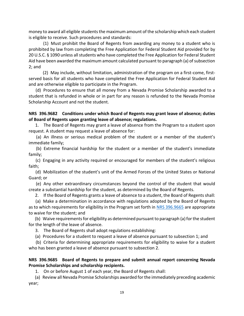money to award all eligible students the maximum amount of the scholarship which each student is eligible to receive. Such procedures and standards:

(1) Must prohibit the Board of Regents from awarding any money to a student who is prohibited by law from completing the Free Application for Federal Student Aid provided for by 20 U.S.C. § 1090 unless all students who have completed the Free Application for Federal Student Aid have been awarded the maximum amount calculated pursuant to paragraph (a) of subsection 2; and

(2) May include, without limitation, administration of the program on a first-come, firstserved basis for all students who have completed the Free Application for Federal Student Aid and are otherwise eligible to participate in the Program.

(d) Procedures to ensure that all money from a Nevada Promise Scholarship awarded to a student that is refunded in whole or in part for any reason is refunded to the Nevada Promise Scholarship Account and not the student.

# **NRS 396.9682 Conditions under which Board of Regents may grant leave of absence; duties of Board of Regents upon granting leave of absence; regulations.**

1. The Board of Regents may grant a leave of absence from the Program to a student upon request. A student may request a leave of absence for:

(a) An illness or serious medical problem of the student or a member of the student's immediate family;

(b) Extreme financial hardship for the student or a member of the student's immediate family;

(c) Engaging in any activity required or encouraged for members of the student's religious faith;

(d) Mobilization of the student's unit of the Armed Forces of the United States or National Guard; or

(e) Any other extraordinary circumstances beyond the control of the student that would create a substantial hardship for the student, as determined by the Board of Regents.

2. If the Board of Regents grants a leave of absence to a student, the Board of Regents shall:

(a) Make a determination in accordance with regulations adopted by the Board of Regents as to which requirements for eligibility in the Program set forth in [NRS 396.9665](https://www.leg.state.nv.us/nrs/nrs-396.html#NRS396Sec9665) are appropriate to waive for the student; and

(b) Waive requirements for eligibility as determined pursuant to paragraph (a) for the student for the length of the leave of absence.

3. The Board of Regents shall adopt regulations establishing:

(a) Procedures for a student to request a leave of absence pursuant to subsection 1; and

(b) Criteria for determining appropriate requirements for eligibility to waive for a student who has been granted a leave of absence pursuant to subsection 2.

# **NRS 396.9685 Board of Regents to prepare and submit annual report concerning Nevada Promise Scholarships and scholarship recipients.**

1. On or before August 1 of each year, the Board of Regents shall:

(a) Review all Nevada Promise Scholarships awarded for the immediately preceding academic year;

19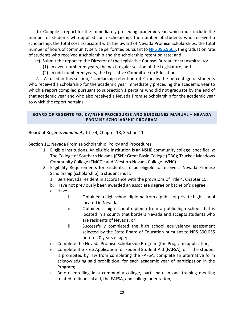(b) Compile a report for the immediately preceding academic year, which must include the number of students who applied for a scholarship, the number of students who received a scholarship, the total cost associated with the award of Nevada Promise Scholarships, the total number of hours of community service performed pursuant to [NRS 396.9665,](https://www.leg.state.nv.us/nrs/nrs-396.html#NRS396Sec9665) the graduation rate of students who received a scholarship and the scholarship retention rate; and

- (c) Submit the report to the Director of the Legislative Counsel Bureau for transmittal to:
	- (1) In even-numbered years, the next regular session of the Legislature; and
	- (2) In odd-numbered years, the Legislative Committee on Education.

2. As used in this section, "scholarship retention rate" means the percentage of students who received a scholarship for the academic year immediately preceding the academic year to which a report compiled pursuant to subsection 1 pertains who did not graduate by the end of that academic year and who also received a Nevada Promise Scholarship for the academic year to which the report pertains.

# <span id="page-19-0"></span>**BOARD OF REGENTS POLICY/NSHE PROCEDURES AND GUIDELINES MANUAL – NEVADA PROMISE SCHOLARSHIP PROGRAM**

Board of Regents *Handbook*, Title 4, Chapter 18, Section 11

Section 11. Nevada Promise Scholarship: Policy and Procedures

- 1. Eligible Institutions. An eligible institution is an NSHE community college, specifically: The College of Southern Nevada (CSN); Great Basin College (GBC); Truckee Meadows Community College (TMCC); and Western Nevada College (WNC).
- 2. Eligibility Requirements for Students. To be eligible to receive a Nevada Promise Scholarship (scholarship), a student must:
	- a. Be a Nevada resident in accordance with the provisions of Title 4, Chapter 15;
	- b. Have not previously been awarded an associate degree or bachelor's degree;
	- c. Have:
		- i. Obtained a high school diploma from a public or private high school located in Nevada;
		- ii. Obtained a high school diploma from a public high school that is located in a county that borders Nevada and accepts students who are residents of Nevada; or
		- iii. Successfully completed the high school equivalency assessment selected by the State Board of Education pursuant to NRS 390.055 before 20 years of age;
	- d. Complete the Nevada Promise Scholarship Program (the Program) application;
	- e. Complete the Free Application for Federal Student Aid (FAFSA), or if the student is prohibited by law from completing the FAFSA, complete an alternative form acknowledging said prohibition, for each academic year of participation in the Program;
	- f. Before enrolling in a community college, participate in one training meeting related to financial aid, the FAFSA, and college orientation;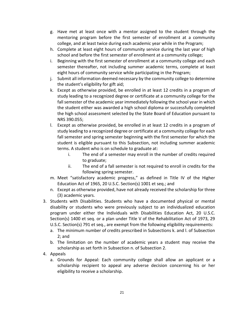- g. Have met at least once with a mentor assigned to the student through the mentoring program before the first semester of enrollment at a community college, and at least twice during each academic year while in the Program;
- h. Complete at least eight hours of community service during the last year of high school and before the first semester of enrollment at a community college;
- i. Beginning with the first semester of enrollment at a community college and each semester thereafter, not including summer academic terms, complete at least eight hours of community service while participating in the Program;
- j. Submit all information deemed necessary by the community college to determine the student's eligibility for gift aid;
- k. Except as otherwise provided, be enrolled in at least 12 credits in a program of study leading to a recognized degree or certificate at a community college for the fall semester of the academic year immediately following the school year in which the student either was awarded a high school diploma or successfully completed the high school assessment selected by the State Board of Education pursuant to NRS 390.055;
- l. Except as otherwise provided, be enrolled in at least 12 credits in a program of study leading to a recognized degree or certificate at a community college for each fall semester and spring semester beginning with the first semester for which the student is eligible pursuant to this Subsection, not including summer academic terms. A student who is on schedule to graduate at:
	- i. The end of a semester may enroll in the number of credits required to graduate;
	- ii. The end of a fall semester is not required to enroll in credits for the following spring semester.
- m. Meet "satisfactory academic progress," as defined in Title IV of the Higher Education Act of 1965, 20 U.S.C. Section(s) 1001 et seq.; and
- n. Except as otherwise provided, have not already received the scholarship for three (3) academic years.
- 3. Students with Disabilities. Students who have a documented physical or mental disability or students who were previously subject to an individualized education program under either the Individuals with Disabilities Education Act, 20 U.S.C. Section(s) 1400 et seq. or a plan under Title V of the Rehabilitation Act of 1973, 29 U.S.C. Section(s) 791 et seq., are exempt from the following eligibility requirements:
	- a. The minimum number of credits prescribed in Subsections k. and l. of Subsection 2; and
	- b. The limitation on the number of academic years a student may receive the scholarship as set forth in Subsection n. of Subsection 2.
- 4. Appeals
	- a. Grounds for Appeal: Each community college shall allow an applicant or a scholarship recipient to appeal any adverse decision concerning his or her eligibility to receive a scholarship.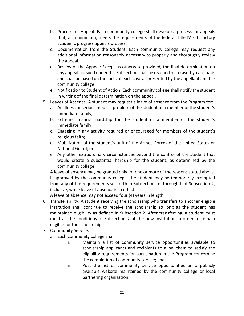- b. Process for Appeal: Each community college shall develop a process for appeals that, at a minimum, meets the requirements of the federal Title IV satisfactory academic progress appeals process.
- c. Documentation from the Student: Each community college may request any additional information reasonably necessary to properly and thoroughly review the appeal.
- d. Review of the Appeal: Except as otherwise provided, the final determination on any appeal pursued under this Subsection shall be reached on a case-by-case basis and shall be based on the facts of each case as presented by the appellant and the community college.
- e. Notification to Student of Action: Each community college shall notify the student in writing of the final determination on the appeal.
- 5. Leaves of Absence. A student may request a leave of absence from the Program for:
	- a. An illness or serious medical problem of the student or a member of the student's immediate family;
	- b. Extreme financial hardship for the student or a member of the student's immediate family;
	- c. Engaging in any activity required or encouraged for members of the student's religious faith;
	- d. Mobilization of the student's unit of the Armed Forces of the United States or National Guard; or
	- e. Any other extraordinary circumstances beyond the control of the student that would create a substantial hardship for the student, as determined by the community college.

A leave of absence may be granted only for one or more of the reasons stated above. If approved by the community college, the student may be temporarily exempted from any of the requirements set forth in Subsections d. through l. of Subsection 2, inclusive, while leave of absence is in effect.

A leave of absence may not exceed four (4) years in length.

- 6. Transferability. A student receiving the scholarship who transfers to another eligible institution shall continue to receive the scholarship so long as the student has maintained eligibility as defined in Subsection 2. After transferring, a student must meet all the conditions of Subsection 2 at the new institution in order to remain eligible for the scholarship.
- 7. Community Service.
	- a. Each community college shall:
		- i. Maintain a list of community service opportunities available to scholarship applicants and recipients to allow them to satisfy the eligibility requirements for participation in the Program concerning the completion of community service; and
		- ii. Post the list of community service opportunities on a publicly available website maintained by the community college or local partnering organization.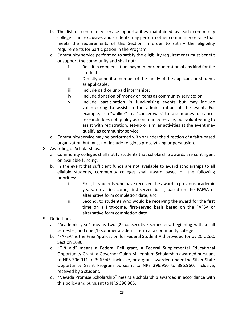- b. The list of community service opportunities maintained by each community college is not exclusive, and students may perform other community service that meets the requirements of this Section in order to satisfy the eligibility requirements for participation in the Program.
- c. Community service performed to satisfy the eligibility requirements must benefit or support the community and shall not:
	- i. Result in compensation, payment or remuneration of any kind for the student;
	- ii. Directly benefit a member of the family of the applicant or student, as applicable;
	- iii. Include paid or unpaid internships;
	- iv. Include donation of money or items as community service; or
	- v. Include participation in fund-raising events but may include volunteering to assist in the administration of the event. For example, as a "walker" in a "cancer walk" to raise money for cancer research does not qualify as community service, but volunteering to assist with registration, set-up or similar activities at the event may qualify as community service.
- d. Community service may be performed with or under the direction of a faith-based organization but must not include religious proselytizing or persuasion.
- 8. Awarding of Scholarships.
	- a. Community colleges shall notify students that scholarship awards are contingent on available funding.
	- b. In the event that sufficient funds are not available to award scholarships to all eligible students, community colleges shall award based on the following priorities:
		- i. First, to students who have received the award in previous academic years, on a first-come, first-served basis, based on the FAFSA or alternative form completion date; and
		- ii. Second, to students who would be receiving the award for the first time on a first-come, first-served basis based on the FAFSA or alternative form completion date.
- 9. Definitions
	- a. "Academic year" means two (2) consecutive semesters, beginning with a fall semester, and one (1) summer academic term at a community college.
	- b. "FAFSA" is the Free Application for Federal Student Aid provided for by 20 U.S.C. Section 1090.
	- c. "Gift aid" means a Federal Pell grant, a Federal Supplemental Educational Opportunity Grant, a Governor Guinn Millennium Scholarship awarded pursuant to NRS 396.911 to 396.945, inclusive, or a grant awarded under the Silver State Opportunity Grant Program pursuant to NRS 396.950 to 396.960, inclusive, received by a student.
	- d. "Nevada Promise Scholarship" means a scholarship awarded in accordance with this policy and pursuant to NRS 396.965.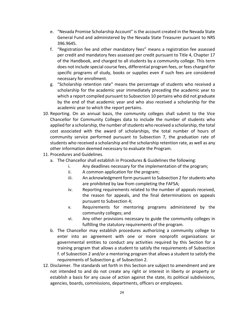- e. "Nevada Promise Scholarship Account" is the account created in the Nevada State General Fund and administered by the Nevada State Treasurer pursuant to NRS 396.9645.
- f. "Registration fee and other mandatory fees" means a registration fee assessed per credit and mandatory fees assessed per credit pursuant to Title 4, Chapter 17 of the Handbook, and charged to all students by a community college. This term does not include special course fees, differential program fees, or fees charged for specific programs of study, books or supplies even if such fees are considered necessary for enrollment.
- g. "Scholarship retention rate" means the percentage of students who received a scholarship for the academic year immediately preceding the academic year to which a report compiled pursuant to Subsection 10 pertains who did not graduate by the end of that academic year and who also received a scholarship for the academic year to which the report pertains.
- 10. Reporting. On an annual basis, the community colleges shall submit to the Vice Chancellor for Community Colleges data to include the number of students who applied for a scholarship, the number of students who received a scholarship, the total cost associated with the award of scholarships, the total number of hours of community service performed pursuant to Subsection 7, the graduation rate of students who received a scholarship and the scholarship retention rate, as well as any other information deemed necessary to evaluate the Program.
- 11. Procedures and Guidelines.
	- a. The Chancellor shall establish in Procedures & Guidelines the following:
		- i. Any deadlines necessary for the implementation of the program;
		- ii. A common application for the program;
		- iii. An acknowledgment form pursuant to Subsection 2 for students who are prohibited by law from completing the FAFSA;
		- iv. Reporting requirements related to the number of appeals received, the reason for appeals, and the final determinations on appeals pursuant to Subsection 4;
		- v. Requirements for mentoring programs administered by the community colleges; and
		- vi. Any other provisions necessary to guide the community colleges in fulfilling the statutory requirements of the program.
	- b. The Chancellor may establish procedures authorizing a community college to enter into an agreement with one or more nonprofit organizations or governmental entities to conduct any activities required by this Section for a training program that allows a student to satisfy the requirements of Subsection f. of Subsection 2 and/or a mentoring program that allows a student to satisfy the requirements of Subsection g. of Subsection 2.
- 12. Disclaimer. The standards set forth in this Section are subject to amendment and are not intended to and do not create any right or interest in liberty or property or establish a basis for any cause of action against the state, its political subdivisions, agencies, boards, commissions, departments, officers or employees.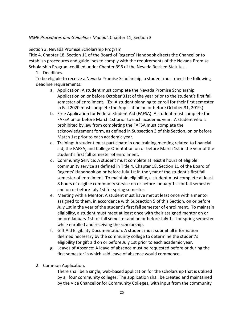# *NSHE Procedures and Guidelines Manual*, Chapter 11, Section 3

Section 3. Nevada Promise Scholarship Program

Title 4, Chapter 18, Section 11 of the Board of Regents' Handbook directs the Chancellor to establish procedures and guidelines to comply with the requirements of the Nevada Promise Scholarship Program codified under Chapter 396 of the Nevada Revised Statutes.

1. Deadlines.

To be eligible to receive a Nevada Promise Scholarship, a student must meet the following deadline requirements:

- a. Application: A student must complete the Nevada Promise Scholarship Application on or before October 31st of the year prior to the student's first fall semester of enrollment. (Ex: A student planning to enroll for their first semester in Fall 2020 must complete the Application on or before October 31, 2019.)
- b. Free Application for Federal Student Aid (FAFSA): A student must complete the FAFSA on or before March 1st prior to each academic year. A student who is prohibited by law from completing the FAFSA must complete the acknowledgement form, as defined in Subsection 3 of this Section, on or before March 1st prior to each academic year.
- c. Training: A student must participate in one training meeting related to financial aid, the FAFSA, and College Orientation on or before March 1st in the year of the student's first fall semester of enrollment.
- d. Community Service: A student must complete at least 8 hours of eligible community service as defined in Title 4, Chapter 18, Section 11 of the Board of Regents' Handbook on or before July 1st in the year of the student's first fall semester of enrollment. To maintain eligibility, a student must complete at least 8 hours of eligible community service on or before January 1st for fall semester and on or before July 1st for spring semester.
- e. Meeting with a Mentor: A student must have met at least once with a mentor assigned to them, in accordance with Subsection 5 of this Section, on or before July 1st in the year of the student's first fall semester of enrollment. To maintain eligibility, a student must meet at least once with their assigned mentor on or before January 1st for fall semester and on or before July 1st for spring semester while enrolled and receiving the scholarship.
- f. Gift Aid Eligibility Documentation: A student must submit all information deemed necessary by the community college to determine the student's eligibility for gift aid on or before July 1st prior to each academic year.
- g. Leaves of Absence: A leave of absence must be requested before or during the first semester in which said leave of absence would commence.
- 2. Common Application.

There shall be a single, web-based application for the scholarship that is utilized by all four community colleges. The application shall be created and maintained by the Vice Chancellor for Community Colleges, with input from the community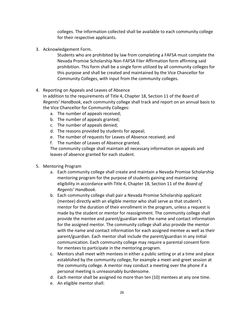colleges. The information collected shall be available to each community college for their respective applicants.

3. Acknowledgement Form.

Students who are prohibited by law from completing a FAFSA must complete the Nevada Promise Scholarship Non-FAFSA Filer Affirmation form affirming said prohibition. This form shall be a single form utilized by all community colleges for this purpose and shall be created and maintained by the Vice Chancellor for Community Colleges, with input from the community colleges.

4. Reporting on Appeals and Leaves of Absence

In addition to the requirements of Title 4, Chapter 18, Section 11 of the Board of *Regents' Handbook*, each community college shall track and report on an annual basis to the Vice Chancellor for Community Colleges:

- a. The number of appeals received;
- b. The number of appeals granted;
- c. The number of appeals denied;
- d. The reasons provided by students for appeal;
- e. The number of requests for Leaves of Absence received; and
- f. The number of Leaves of Absence granted.

The community college shall maintain all necessary information on appeals and leaves of absence granted for each student.

- 5. Mentoring Program
	- a. Each community college shall create and maintain a Nevada Promise Scholarship mentoring program for the purpose of students gaining and maintaining eligibility in accordance with Title 4, Chapter 18, Section 11 of the *Board of Regents' Handbook*.
	- b. Each community college shall pair a Nevada Promise Scholarship applicant (mentee) directly with an eligible mentor who shall serve as that student's mentor for the duration of their enrollment in the program, unless a request is made by the student or mentor for reassignment. The community college shall provide the mentee and parent/guardian with the name and contact information for the assigned mentor. The community college shall also provide the mentor with the name and contact information for each assigned mentee as well as their parent/guardian. Each mentor shall include the parent/guardian in any initial communication. Each community college may require a parental consent form for mentees to participate in the mentoring program.
	- c. Mentors shall meet with mentees in either a public setting or at a time and place established by the community college, for example a meet-and-greet session at the community college. A mentor may conduct a meeting over the phone if a personal meeting is unreasonably burdensome.
	- d. Each mentor shall be assigned no more than ten (10) mentees at any one time.
	- e. An eligible mentor shall: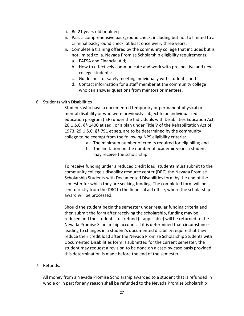- i. Be 21 years old or older;
- ii. Pass a comprehensive background check, including but not to limited to a criminal background check, at least once every three years;
- iii. Complete a training offered by the community college that includes but is not limited to: a. Nevada Promise Scholarship eligibility requirements;
	- a. FAFSA and Financial Aid;
	- b. How to effectively communicate and work with prospective and new college students;
	- c. Guidelines for safely meeting individually with students; and
	- d. Contact information for a staff member at the community college who can answer questions from mentors or mentees.
- 6. Students with Disabilities

Students who have a documented temporary or permanent physical or mental disability or who were previously subject to an individualized education program (IEP) under the Individuals with Disabilities Education Act, 20 U.S.C. §§ 1400 et seq., or a plan under Title V of the Rehabilitation Act of 1973, 29 U.S.C. §§ 791 et seq. are to be determined by the community college to be exempt from the following NPS eligibility criteria:

- a. The minimum number of credits required for eligibility; and
- b. The limitation on the number of academic years a student may receive the scholarship.

To receive funding under a reduced credit load, students must submit to the community college's disability resource center (DRC) the Nevada Promise Scholarship Students with Documented Disabilities form by the end of the semester for which they are seeking funding. The completed form will be sent directly from the DRC to the financial aid office, where the scholarship award will be processed.

Should the student begin the semester under regular funding criteria and then submit the form after receiving the scholarship, funding may be reduced and the student's full refund (if applicable) will be returned to the Nevada Promise Scholarship account. If it is determined that circumstances leading to changes in a student's documented disability require that they reduce their credit load after the Nevada Promise Scholarship Students with Documented Disabilities form is submitted for the current semester, the student may request a revision to be done on a case-by-case basis provided this determination is made before the end of the semester.

# 7. Refunds.

All money from a Nevada Promise Scholarship awarded to a student that is refunded in whole or in part for any reason shall be refunded to the Nevada Promise Scholarship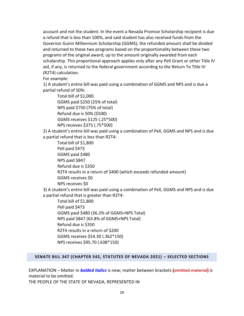account and not the student. In the event a Nevada Promise Scholarship recipient is due a refund that is less than 100%, and said student has also received funds from the Governor Guinn Millennium Scholarship (GGMS), the refunded amount shall be divided and returned to these two programs based on the proportionality between these two programs of the original award, up to the amount originally awarded from each scholarship. This proportional approach applies only after any Pell Grant or other Title IV aid, if any, is returned to the federal government according to the Return To Title IV (R2T4) calculation.

For example:

1) A student's entire bill was paid using a combination of GGMS and NPS and is due a partial refund of 50%:

Total bill of \$1,000. GGMS paid \$250 (25% of total) NPS paid \$750 (75% of total) Refund due is 50% (\$500) GGMS receives \$125 (.25\*500) NPS receives \$375 (.75\*500)

2) A student's entire bill was paid using a combination of Pell, GGMS and NPS and is due

a partial refund that is less than R2T4:

Total bill of \$1,800 Pell paid \$473 GGMS paid \$480 NPS paid \$847 Refund due is \$350 R2T4 results in a return of \$400 (which exceeds refunded amount) GGMS receives \$0 NPS receives \$0

3) A student's entire bill was paid using a combination of Pell, GGMS and NPS and is due a partial refund that is greater than R2T4:

Total bill of \$1,800 Pell paid \$473 GGMS paid \$480 (36.2% of GGMS+NPS Total) NPS paid \$847 (63.8% of GGMS+NPS Total) Refund due is \$350 R2T4 results in a return of \$200 GGMS receives \$54.30 (.362\*150) NPS receives \$95.70 (.638\*150)

# <span id="page-27-0"></span>**SENATE BILL 347 (CHAPTER 542, STATUTES OF NEVADA 2021) – SELECTED SECTIONS**

EXPLANATION – Matter in *bolded italics* is new; matter between brackets **[**omitted material**]** is material to be omitted.

THE PEOPLE OF THE STATE OF NEVADA, REPRESENTED IN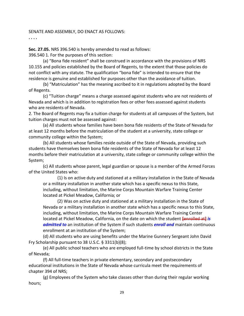## SENATE AND ASSEMBLY, DO ENACT AS FOLLOWS:

**. . . .**

**Sec. 27.05.** NRS 396.540 is hereby amended to read as follows: 396.540 1. For the purposes of this section:

(a) "Bona fide resident" shall be construed in accordance with the provisions of NRS 10.155 and policies established by the Board of Regents, to the extent that those policies do not conflict with any statute. The qualification "bona fide" is intended to ensure that the residence is genuine and established for purposes other than the avoidance of tuition.

(b) "Matriculation" has the meaning ascribed to it in regulations adopted by the Board of Regents.

(c) "Tuition charge" means a charge assessed against students who are not residents of Nevada and which is in addition to registration fees or other fees assessed against students who are residents of Nevada.

2. The Board of Regents may fix a tuition charge for students at all campuses of the System, but tuition charges must not be assessed against:

(a) All students whose families have been bona fide residents of the State of Nevada for at least 12 months before the matriculation of the student at a university, state college or community college within the System;

(b) All students whose families reside outside of the State of Nevada, providing such students have themselves been bona fide residents of the State of Nevada for at least 12 months before their matriculation at a university, state college or community college within the System;

(c) All students whose parent, legal guardian or spouse is a member of the Armed Forces of the United States who:

(1) Is on active duty and stationed at a military installation in the State of Nevada or a military installation in another state which has a specific nexus to this State, including, without limitation, the Marine Corps Mountain Warfare Training Center located at Pickel Meadow, California; or

(2) Was on active duty and stationed at a military installation in the State of Nevada or a military installation in another state which has a specific nexus to this State, including, without limitation, the Marine Corps Mountain Warfare Training Center located at Pickel Meadow, California, on the date on which the student **[**enrolled at**]** *is admitted to* an institution of the System if such students *enroll and* maintain continuous enrollment at an institution of the System;

(d) All students who are using benefits under the Marine Gunnery Sergeant John David Fry Scholarship pursuant to 38 U.S.C. § 3311(b)(8);

(e) All public school teachers who are employed full-time by school districts in the State of Nevada;

(f) All full-time teachers in private elementary, secondary and postsecondary educational institutions in the State of Nevada whose curricula meet the requirements of chapter 394 of NRS;

(g) Employees of the System who take classes other than during their regular working hours;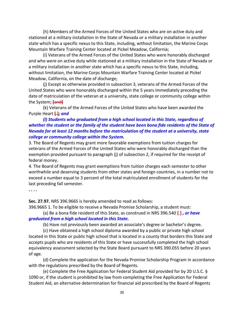(h) Members of the Armed Forces of the United States who are on active duty and stationed at a military installation in the State of Nevada or a military installation in another state which has a specific nexus to this State, including, without limitation, the Marine Corps Mountain Warfare Training Center located at Pickel Meadow, California;

(i) Veterans of the Armed Forces of the United States who were honorably discharged and who were on active duty while stationed at a military installation in the State of Nevada or a military installation in another state which has a specific nexus to this State, including, without limitation, the Marine Corps Mountain Warfare Training Center located at Pickel Meadow, California, on the date of discharge;

(j) Except as otherwise provided in subsection 3, veterans of the Armed Forces of the United States who were honorably discharged within the 5 years immediately preceding the date of matriculation of the veteran at a university, state college or community college within the System; **[**and**]** 

(k) Veterans of the Armed Forces of the United States who have been awarded the Purple Heart **[**.**]***; and* 

# *(l) Students who graduated from a high school located in this State, regardless of whether the student or the family of the student have been bona fide residents of the State of Nevada for at least 12 months before the matriculation of the student at a university, state college or community college within the System.*

3. The Board of Regents may grant more favorable exemptions from tuition charges for veterans of the Armed Forces of the United States who were honorably discharged than the exemption provided pursuant to paragraph (j) of subsection 2, if required for the receipt of federal money.

4. The Board of Regents may grant exemptions from tuition charges each semester to other worthwhile and deserving students from other states and foreign countries, in a number not to exceed a number equal to 3 percent of the total matriculated enrollment of students for the last preceding fall semester.

**. . . .**

**Sec. 27.97.** NRS 396.9665 is hereby amended to read as follows:

396.9665 1. To be eligible to receive a Nevada Promise Scholarship, a student must:

(a) Be a bona fide resident of this State, as construed in NRS 396.540 **[**.**]** *, or have graduated from a high school located in this State.*

(b) Have not previously been awarded an associate's degree or bachelor's degree.

(c) Have obtained a high school diploma awarded by a public or private high school located in this State or public high school that is located in a county that borders this State and accepts pupils who are residents of this State or have successfully completed the high school equivalency assessment selected by the State Board pursuant to NRS 390.055 before 20 years of age.

(d) Complete the application for the Nevada Promise Scholarship Program in accordance with the regulations prescribed by the Board of Regents.

(e) Complete the Free Application for Federal Student Aid provided for by 20 U.S.C. § 1090 or, if the student is prohibited by law from completing the Free Application for Federal Student Aid, an alternative determination for financial aid prescribed by the Board of Regents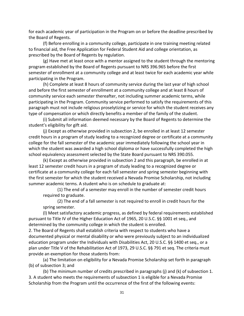for each academic year of participation in the Program on or before the deadline prescribed by the Board of Regents.

(f) Before enrolling in a community college, participate in one training meeting related to financial aid, the Free Application for Federal Student Aid and college orientation, as prescribed by the Board of Regents by regulation.

(g) Have met at least once with a mentor assigned to the student through the mentoring program established by the Board of Regents pursuant to NRS 396.965 before the first semester of enrollment at a community college and at least twice for each academic year while participating in the Program.

(h) Complete at least 8 hours of community service during the last year of high school and before the first semester of enrollment at a community college and at least 8 hours of community service each semester thereafter, not including summer academic terms, while participating in the Program. Community service performed to satisfy the requirements of this paragraph must not include religious proselytizing or service for which the student receives any type of compensation or which directly benefits a member of the family of the student.

(i) Submit all information deemed necessary by the Board of Regents to determine the student's eligibility for gift aid.

(j) Except as otherwise provided in subsection 2, be enrolled in at least 12 semester credit hours in a program of study leading to a recognized degree or certificate at a community college for the fall semester of the academic year immediately following the school year in which the student was awarded a high school diploma or have successfully completed the high school equivalency assessment selected by the State Board pursuant to NRS 390.055.

(k) Except as otherwise provided in subsection 2 and this paragraph, be enrolled in at least 12 semester credit hours in a program of study leading to a recognized degree or certificate at a community college for each fall semester and spring semester beginning with the first semester for which the student received a Nevada Promise Scholarship, not including summer academic terms. A student who is on schedule to graduate at:

(1) The end of a semester may enroll in the number of semester credit hours required to graduate.

(2) The end of a fall semester is not required to enroll in credit hours for the spring semester.

(l) Meet satisfactory academic progress, as defined by federal requirements established pursuant to Title IV of the Higher Education Act of 1965, 20 U.S.C. §§ 1001 et seq., and determined by the community college in which the student is enrolled.

2. The Board of Regents shall establish criteria with respect to students who have a documented physical or mental disability or who were previously subject to an individualized education program under the Individuals with Disabilities Act, 20 U.S.C. §§ 1400 et seq., or a plan under Title V of the Rehabilitation Act of 1973, 29 U.S.C. §§ 791 et seq. The criteria must provide an exemption for those students from:

(a) The limitation on eligibility for a Nevada Promise Scholarship set forth in paragraph (b) of subsection 3; and

(b) The minimum number of credits prescribed in paragraphs (j) and (k) of subsection 1. 3. A student who meets the requirements of subsection 1 is eligible for a Nevada Promise Scholarship from the Program until the occurrence of the first of the following events: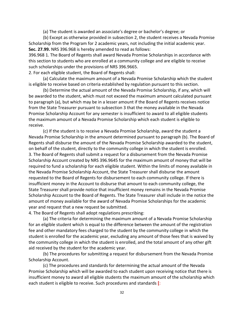(a) The student is awarded an associate's degree or bachelor's degree; or

(b) Except as otherwise provided in subsection 2, the student receives a Nevada Promise Scholarship from the Program for 2 academic years, not including the initial academic year. **Sec. 27.99.** NRS 396.968 is hereby amended to read as follows:

396.968 1. The Board of Regents shall award Nevada Promise Scholarships in accordance with this section to students who are enrolled at a community college and are eligible to receive such scholarships under the provisions of NRS 396.9665.

2. For each eligible student, the Board of Regents shall:

(a) Calculate the maximum amount of a Nevada Promise Scholarship which the student is eligible to receive based on criteria established by regulation pursuant to this section.

(b) Determine the actual amount of the Nevada Promise Scholarship, if any, which will be awarded to the student, which must not exceed the maximum amount calculated pursuant to paragraph (a), but which may be in a lesser amount if the Board of Regents receives notice from the State Treasurer pursuant to subsection 3 that the money available in the Nevada Promise Scholarship Account for any semester is insufficient to award to all eligible students the maximum amount of a Nevada Promise Scholarship which each student is eligible to receive.

(c) If the student is to receive a Nevada Promise Scholarship, award the student a Nevada Promise Scholarship in the amount determined pursuant to paragraph (b). The Board of Regents shall disburse the amount of the Nevada Promise Scholarship awarded to the student, on behalf of the student, directly to the community college in which the student is enrolled. 3. The Board of Regents shall submit a request for a disbursement from the Nevada Promise Scholarship Account created by NRS 396.9645 for the maximum amount of money that will be required to fund a scholarship for each eligible student. Within the limits of money available in the Nevada Promise Scholarship Account, the State Treasurer shall disburse the amount requested to the Board of Regents for disbursement to each community college. If there is insufficient money in the Account to disburse that amount to each community college, the State Treasurer shall provide notice that insufficient money remains in the Nevada Promise Scholarship Account to the Board of Regents. The State Treasurer shall include in the notice the amount of money available for the award of Nevada Promise Scholarships for the academic year and request that a new request be submitted.

4. The Board of Regents shall adopt regulations prescribing:

(a) The criteria for determining the maximum amount of a Nevada Promise Scholarship for an eligible student which is equal to the difference between the amount of the registration fee and other mandatory fees charged to the student by the community college in which the student is enrolled for the academic year, excluding any amount of those fees that is waived by the community college in which the student is enrolled, and the total amount of any other gift aid received by the student for the academic year.

(b) The procedures for submitting a request for disbursement from the Nevada Promise Scholarship Account.

(c) The procedures and standards for determining the actual amount of the Nevada Promise Scholarship which will be awarded to each student upon receiving notice that there is insufficient money to award all eligible students the maximum amount of the scholarship which each student is eligible to receive. Such procedures and standards **[**: